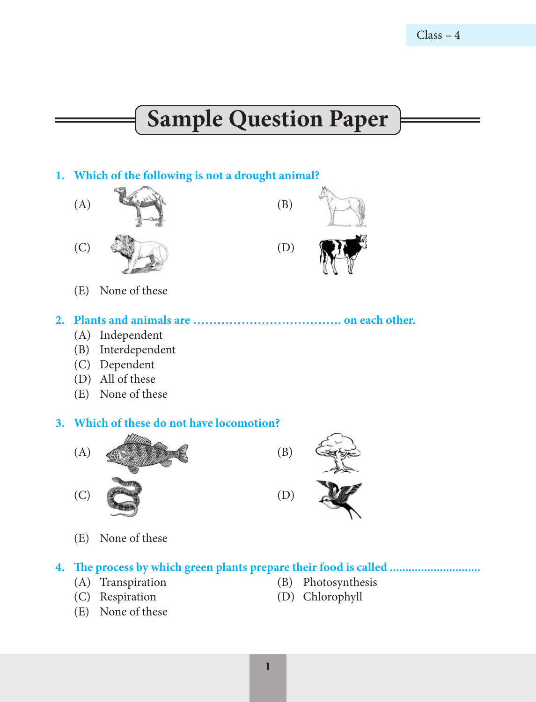# **Sample Question Paper**

# **1. Which of the following is not a drought animal?**



(E) None of these

# **2. Plants and animals are ………………………………. on each other.**

- (A) Independent
- (B) Interdependent
- (C) Dependent
- (D) All of these
- (E) None of these

#### **3. Which of these do not have locomotion?**



(E) None of these

# **4. The process by which green plants prepare their food is called .............................**

- (A) Transpiration (B) Photosynthesis
- 
- (E) None of these
- 
- (C) Respiration (D) Chlorophyll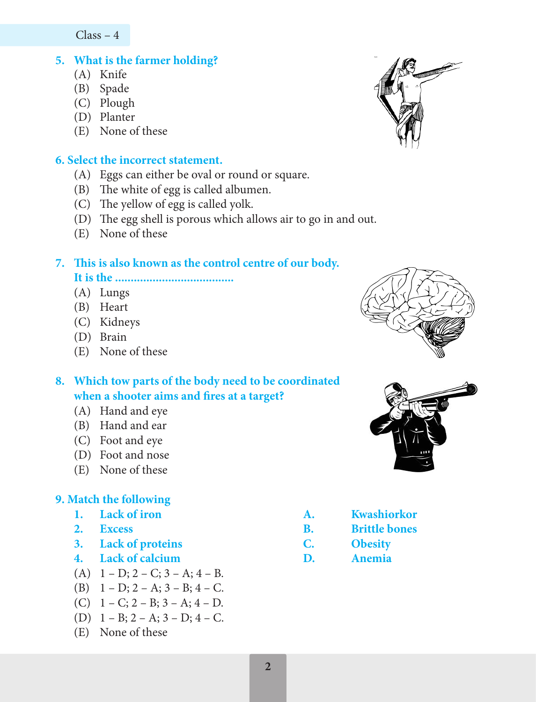Class – 4

# **5. What is the farmer holding?**

- (A) Knife
- (B) Spade
- (C) Plough
- (D) Planter
- (E) None of these

#### **6. Select the incorrect statement.**

- (A) Eggs can either be oval or round or square.
- (B) The white of egg is called albumen.
- (C) The yellow of egg is called yolk.
- (D) The egg shell is porous which allows air to go in and out.
- (E) None of these

# **7. This is also known as the control centre of our body. It is the ......................................**

- (A) Lungs
- (B) Heart
- (C) Kidneys
- (D) Brain
- (E) None of these

# **8. Which tow parts of the body need to be coordinated when a shooter aims and fires at a target?**

- (A) Hand and eye
- (B) Hand and ear
- (C) Foot and eye
- (D) Foot and nose
- (E) None of these

# **9. Match the following**

- 
- 
- **3. Lack of proteins C. Obesity**
- **4. Lack of calcium D. Anemia**
- (A)  $1 D$ ;  $2 C$ ;  $3 A$ ;  $4 B$ .
- (B)  $1 D$ ;  $2 A$ ;  $3 B$ ;  $4 C$ .
- (C)  $1 C$ ;  $2 B$ ;  $3 A$ ;  $4 D$ .
- (D)  $1 B$ ;  $2 A$ ;  $3 D$ ;  $4 C$ .
- (E) None of these







- 1. Lack of iron **A. Kwashiorkor**
- **2. Excess B. Brittle bones**
	-
	-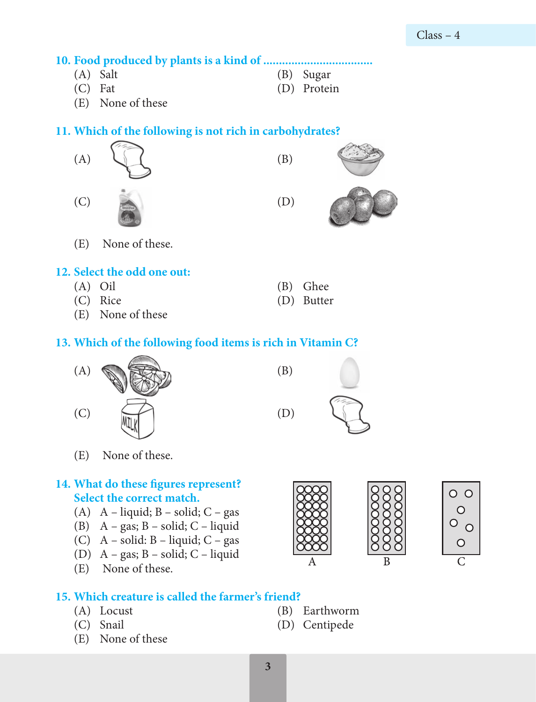**10. Food produced by plants is a kind of ...................................**

- 
- 
- (A) Salt (B) Sugar
- (C) Fat (D) Protein
- (E) None of these

#### **11. Which of the following is not rich in carbohydrates?**



- 
- (C) Rice (D) Butter
- (E) None of these

#### **13. Which of the following food items is rich in Vitamin C?**



(E) None of these.

# **14. What do these figures represent? Select the correct match.**

- (A) A liquid;  $B$  solid;  $C$  gas
- (B)  $A gas$ ;  $B solid$ ;  $C liquid$
- (C)  $A solid: B liquid: C gas$
- (D) A gas; B solid; C liquid
- (E) None of these.

# **15. Which creature is called the farmer's friend?**

- 
- 
- (E) None of these





- (A) Locust (B) Earthworm
- (C) Snail (D) Centipede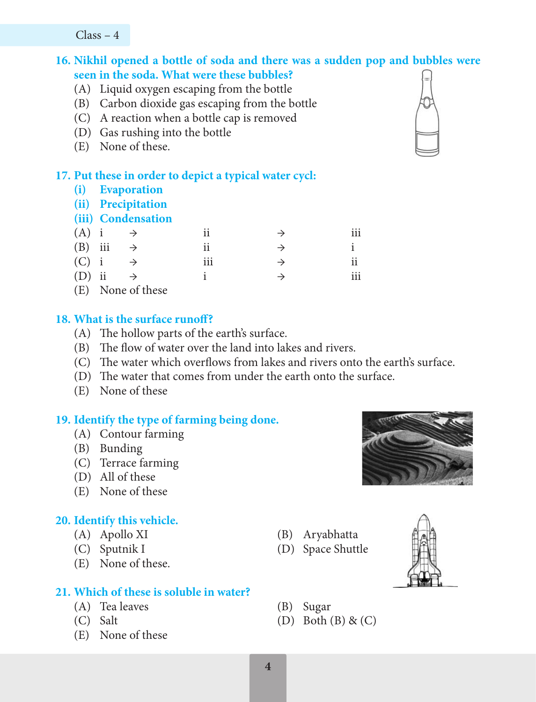Class – 4

# **16. Nikhil opened a bottle of soda and there was a sudden pop and bubbles were seen in the soda. What were these bubbles?**

- (A) Liquid oxygen escaping from the bottle
- (B) Carbon dioxide gas escaping from the bottle
- (C) A reaction when a bottle cap is removed
- (D) Gas rushing into the bottle
- (E) None of these.

#### **17. Put these in order to depict a typical water cycl:**

- **(i) Evaporation**
- **(ii) Precipitation**

#### **(iii) Condensation**

| $(A)$ i   | $\rightarrow$     | 11  | $\rightarrow$ | 111 |
|-----------|-------------------|-----|---------------|-----|
| $(B)$ iii | $\rightarrow$     | 11  | $\rightarrow$ |     |
| $(C)$ i   |                   | iii | $\rightarrow$ | ii  |
| $(D)$ ii  | $\rightarrow$     |     | $\rightarrow$ | iii |
|           | (E) None of these |     |               |     |

#### **18. What is the surface runoff?**

- (A) The hollow parts of the earth's surface.
- (B) The flow of water over the land into lakes and rivers.
- (C) The water which overflows from lakes and rivers onto the earth's surface.
- (D) The water that comes from under the earth onto the surface.
- (E) None of these

#### **19. Identify the type of farming being done.**

- (A) Contour farming
- (B) Bunding
- (C) Terrace farming
- (D) All of these
- (E) None of these

#### **20. Identify this vehicle.**

- 
- 
- (E) None of these.

#### **21. Which of these is soluble in water?**

- (A) Tea leaves (B) Sugar
- 
- (E) None of these
- (A) Apollo XI (B) Aryabhatta
- (C) Sputnik I (D) Space Shuttle



- 
- (C) Salt (D) Both  $(B) \& (C)$

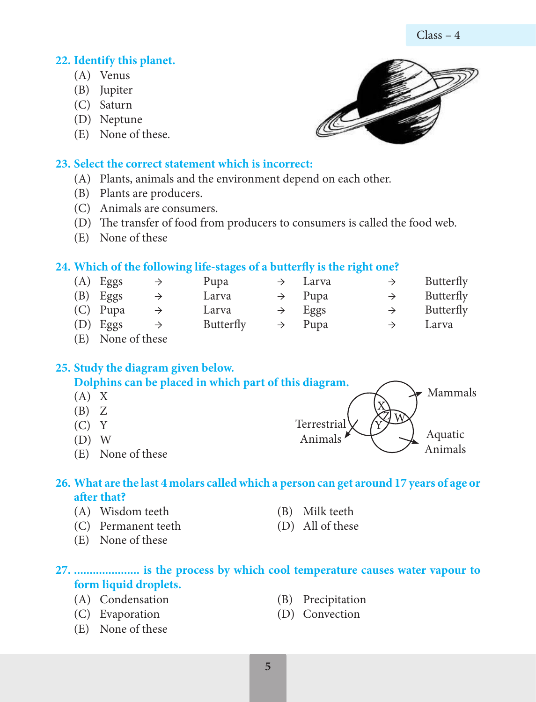# **22. Identify this planet.**

- (A) Venus
- (B) Jupiter
- (C) Saturn
- (D) Neptune
- (E) None of these.

# **23. Select the correct statement which is incorrect:**

- (A) Plants, animals and the environment depend on each other.
- (B) Plants are producers.
- (C) Animals are consumers.
- (D) The transfer of food from producers to consumers is called the food web.
- (E) None of these

# **24. Which of the following life-stages of a butterfly is the right one?**

|                             | $(A)$ Eggs | $\rightarrow$ | Pupa      | $\rightarrow$ Larva |               | Butterfly |
|-----------------------------|------------|---------------|-----------|---------------------|---------------|-----------|
|                             | $(B)$ Eggs |               | Larva     | $\rightarrow$ Pupa  | $\rightarrow$ | Butterfly |
|                             | $(C)$ Pupa |               | Larva     | $\rightarrow$ Eggs  | $\rightarrow$ | Butterfly |
|                             | $(D)$ Eggs | $\rightarrow$ | Butterfly | $\rightarrow$ Pupa  | $\rightarrow$ | Larva     |
| $(\mathbf{m})$ $\mathbf{r}$ |            |               |           |                     |               |           |

(E) None of these

# **25. Study the diagram given below.**

**Dolphins can be placed in which part of this diagram.** 

- $(A) X$
- $(B)Z$
- $(C) Y$
- (D) W
- (E) None of these

# **26. What are the last 4 molars called which a person can get around 17 years of age or after that?**

- (A) Wisdom teeth (B) Milk teeth
- (C) Permanent teeth (D) All of these
- (E) None of these

# **27. ..................... is the process by which cool temperature causes water vapour to form liquid droplets.**

- (A) Condensation (B) Precipitation
- (C) Evaporation (D) Convection
- (E) None of these

Terrestrial

Animals  $\bigvee$   $\bigvee$  Aquatic

Animals

Mammals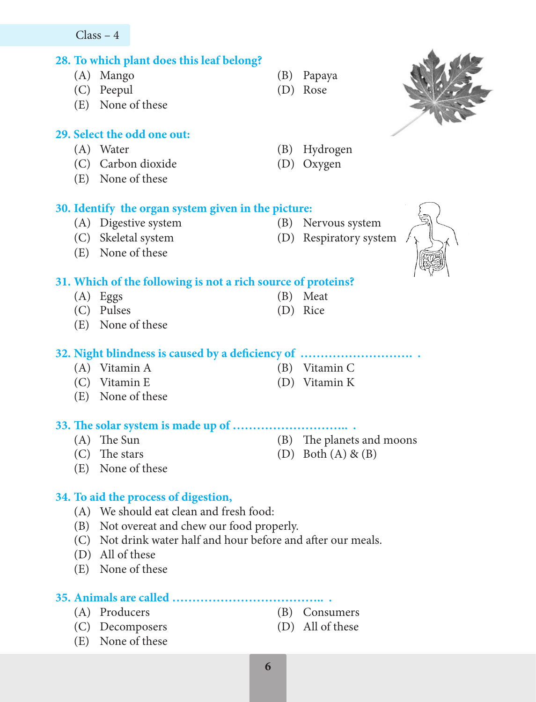#### $Class - 4$

# **28. To which plant does this leaf belong?**

- (A) Mango (B) Papaya
- (C) Peepul (D) Rose
- (E) None of these

# **29. Select the odd one out:**

- (A) Water (B) Hydrogen
- (C) Carbon dioxide (D) Oxygen
- (E) None of these

# **30. Identify the organ system given in the picture:**

- (A) Digestive system (B) Nervous system
- (C) Skeletal system (D) Respiratory system
- (E) None of these

# **31. Which of the following is not a rich source of proteins?**

- (A) Eggs (B) Meat
- (C) Pulses (D) Rice
- (E) None of these

#### **32. Night blindness is caused by a deficiency of ………………………. .**

- 
- 
- (E) None of these

# **33. The solar system is made up of ……………………….. .**

- 
- 
- (E) None of these

# **34. To aid the process of digestion,**

- (A) We should eat clean and fresh food:
- (B) Not overeat and chew our food properly.
- (C) Not drink water half and hour before and after our meals.
- (D) All of these
- (E) None of these

# **35. Animals are called ……………………………….. .**

- (A) Producers (B) Consumers
- (C) Decomposers (D) All of these
- (E) None of these
- 
- 
- 
- 
- 
- 
- 
- (A) Vitamin A (B) Vitamin C
- (C) Vitamin E (D) Vitamin K
- (A) The Sun (B) The planets and moons
	-
- (C) The stars (D) Both  $(A) \& (B)$
- 
-